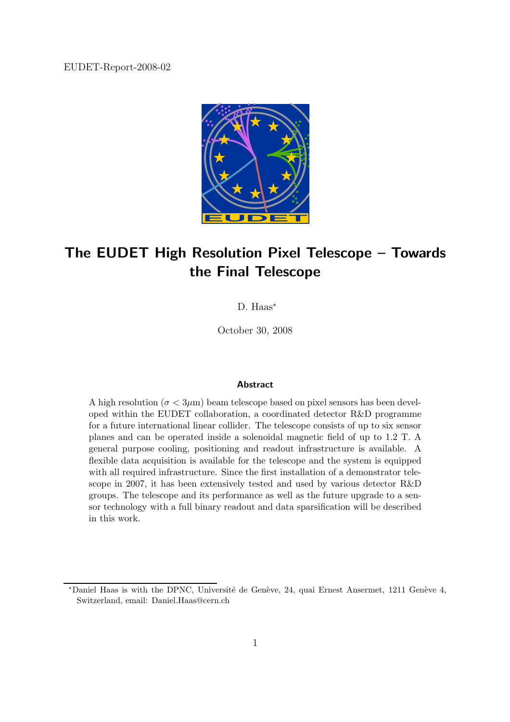EUDET-Report-2008-02



# The EUDET High Resolution Pixel Telescope – Towards the Final Telescope

D. Haas<sup>∗</sup>

October 30, 2008

#### Abstract

A high resolution ( $\sigma < 3\mu$ m) beam telescope based on pixel sensors has been developed within the EUDET collaboration, a coordinated detector R&D programme for a future international linear collider. The telescope consists of up to six sensor planes and can be operated inside a solenoidal magnetic field of up to 1.2 T. A general purpose cooling, positioning and readout infrastructure is available. A flexible data acquisition is available for the telescope and the system is equipped with all required infrastructure. Since the first installation of a demonstrator telescope in 2007, it has been extensively tested and used by various detector R&D groups. The telescope and its performance as well as the future upgrade to a sensor technology with a full binary readout and data sparsification will be described in this work.

<sup>\*</sup>Daniel Haas is with the DPNC, Université de Genève, 24, quai Ernest Ansermet, 1211 Genève 4, Switzerland, email: Daniel.Haas@cern.ch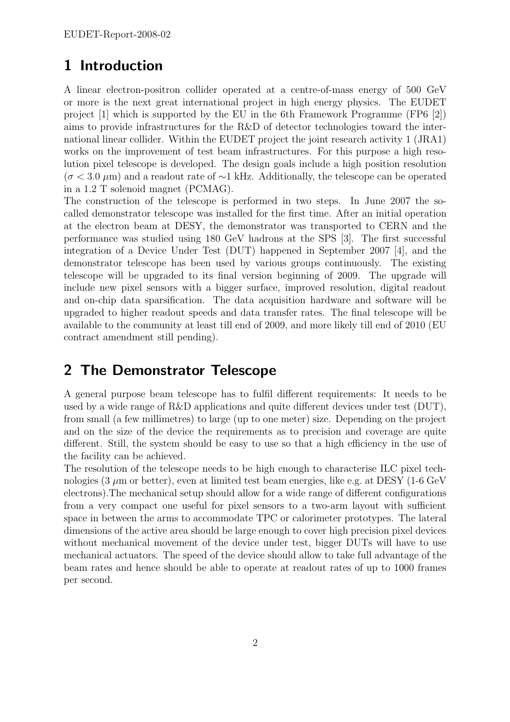# 1 Introduction

A linear electron-positron collider operated at a centre-of-mass energy of 500 GeV or more is the next great international project in high energy physics. The EUDET project [1] which is supported by the EU in the 6th Framework Programme (FP6 [2]) aims to provide infrastructures for the R&D of detector technologies toward the international linear collider. Within the EUDET project the joint research activity 1 (JRA1) works on the improvement of test beam infrastructures. For this purpose a high resolution pixel telescope is developed. The design goals include a high position resolution  $(\sigma < 3.0 \ \mu \text{m})$  and a readout rate of ∼1 kHz. Additionally, the telescope can be operated in a 1.2 T solenoid magnet (PCMAG).

The construction of the telescope is performed in two steps. In June 2007 the socalled demonstrator telescope was installed for the first time. After an initial operation at the electron beam at DESY, the demonstrator was transported to CERN and the performance was studied using 180 GeV hadrons at the SPS [3]. The first successful integration of a Device Under Test (DUT) happened in September 2007 [4], and the demonstrator telescope has been used by various groups continuously. The existing telescope will be upgraded to its final version beginning of 2009. The upgrade will include new pixel sensors with a bigger surface, improved resolution, digital readout and on-chip data sparsification. The data acquisition hardware and software will be upgraded to higher readout speeds and data transfer rates. The final telescope will be available to the community at least till end of 2009, and more likely till end of 2010 (EU contract amendment still pending).

# 2 The Demonstrator Telescope

A general purpose beam telescope has to fulfil different requirements: It needs to be used by a wide range of R&D applications and quite different devices under test (DUT), from small (a few millimetres) to large (up to one meter) size. Depending on the project and on the size of the device the requirements as to precision and coverage are quite different. Still, the system should be easy to use so that a high efficiency in the use of the facility can be achieved.

The resolution of the telescope needs to be high enough to characterise ILC pixel technologies (3  $\mu$ m or better), even at limited test beam energies, like e.g. at DESY (1-6 GeV electrons).The mechanical setup should allow for a wide range of different configurations from a very compact one useful for pixel sensors to a two-arm layout with sufficient space in between the arms to accommodate TPC or calorimeter prototypes. The lateral dimensions of the active area should be large enough to cover high precision pixel devices without mechanical movement of the device under test, bigger DUTs will have to use mechanical actuators. The speed of the device should allow to take full advantage of the beam rates and hence should be able to operate at readout rates of up to 1000 frames per second.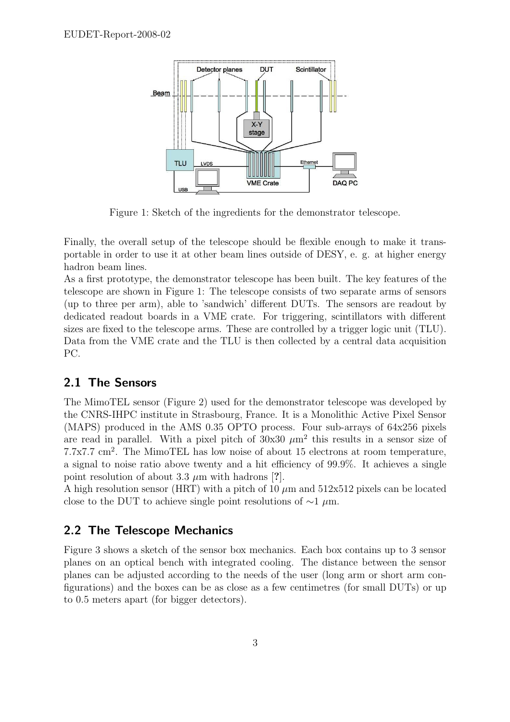

Figure 1: Sketch of the ingredients for the demonstrator telescope.

Finally, the overall setup of the telescope should be flexible enough to make it transportable in order to use it at other beam lines outside of DESY, e. g. at higher energy hadron beam lines.

As a first prototype, the demonstrator telescope has been built. The key features of the telescope are shown in Figure 1: The telescope consists of two separate arms of sensors (up to three per arm), able to 'sandwich' different DUTs. The sensors are readout by dedicated readout boards in a VME crate. For triggering, scintillators with different sizes are fixed to the telescope arms. These are controlled by a trigger logic unit (TLU). Data from the VME crate and the TLU is then collected by a central data acquisition PC.

#### 2.1 The Sensors

The MimoTEL sensor (Figure 2) used for the demonstrator telescope was developed by the CNRS-IHPC institute in Strasbourg, France. It is a Monolithic Active Pixel Sensor (MAPS) produced in the AMS 0.35 OPTO process. Four sub-arrays of 64x256 pixels are read in parallel. With a pixel pitch of  $30x30 \mu m^2$  this results in a sensor size of 7.7x7.7 cm<sup>2</sup> . The MimoTEL has low noise of about 15 electrons at room temperature, a signal to noise ratio above twenty and a hit efficiency of 99.9%. It achieves a single point resolution of about 3.3  $\mu$ m with hadrons [?].

A high resolution sensor (HRT) with a pitch of 10  $\mu$ m and 512x512 pixels can be located close to the DUT to achieve single point resolutions of  $\sim$ 1 µm.

#### 2.2 The Telescope Mechanics

Figure 3 shows a sketch of the sensor box mechanics. Each box contains up to 3 sensor planes on an optical bench with integrated cooling. The distance between the sensor planes can be adjusted according to the needs of the user (long arm or short arm configurations) and the boxes can be as close as a few centimetres (for small DUTs) or up to 0.5 meters apart (for bigger detectors).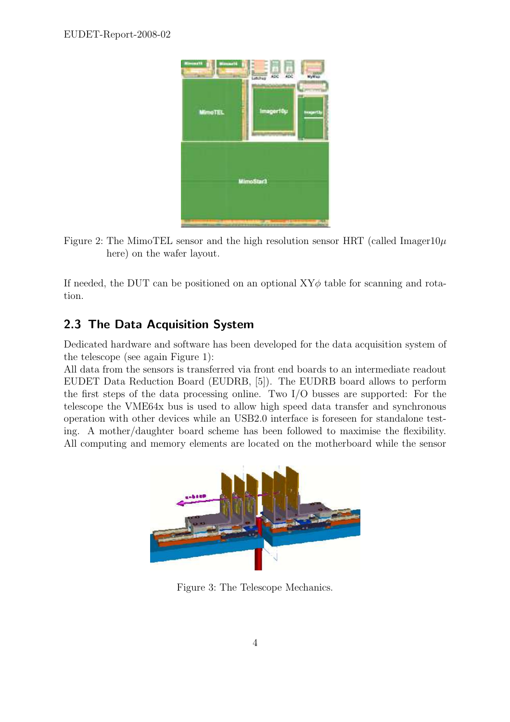

Figure 2: The MimoTEL sensor and the high resolution sensor HRT (called Imager10 $\mu$ ) here) on the wafer layout.

If needed, the DUT can be positioned on an optional  $XY\phi$  table for scanning and rotation.

### 2.3 The Data Acquisition System

Dedicated hardware and software has been developed for the data acquisition system of the telescope (see again Figure 1):

All data from the sensors is transferred via front end boards to an intermediate readout EUDET Data Reduction Board (EUDRB, [5]). The EUDRB board allows to perform the first steps of the data processing online. Two I/O busses are supported: For the telescope the VME64x bus is used to allow high speed data transfer and synchronous operation with other devices while an USB2.0 interface is foreseen for standalone testing. A mother/daughter board scheme has been followed to maximise the flexibility. All computing and memory elements are located on the motherboard while the sensor



Figure 3: The Telescope Mechanics.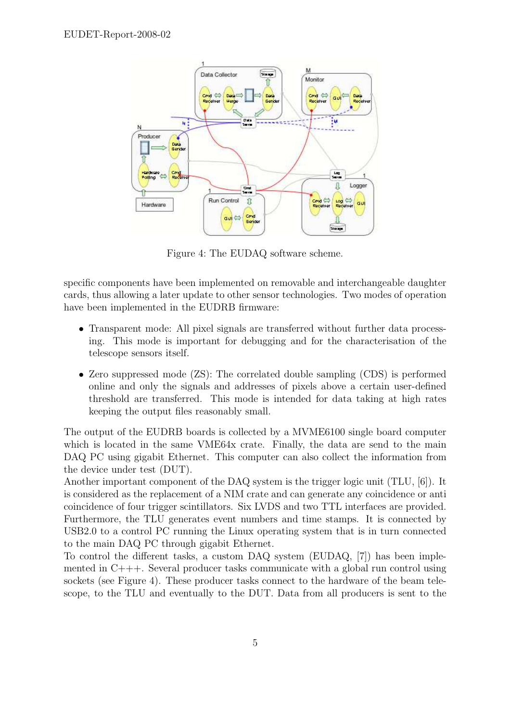

Figure 4: The EUDAQ software scheme.

specific components have been implemented on removable and interchangeable daughter cards, thus allowing a later update to other sensor technologies. Two modes of operation have been implemented in the EUDRB firmware:

- Transparent mode: All pixel signals are transferred without further data processing. This mode is important for debugging and for the characterisation of the telescope sensors itself.
- Zero suppressed mode (ZS): The correlated double sampling (CDS) is performed online and only the signals and addresses of pixels above a certain user-defined threshold are transferred. This mode is intended for data taking at high rates keeping the output files reasonably small.

The output of the EUDRB boards is collected by a MVME6100 single board computer which is located in the same VME64x crate. Finally, the data are send to the main DAQ PC using gigabit Ethernet. This computer can also collect the information from the device under test (DUT).

Another important component of the DAQ system is the trigger logic unit (TLU, [6]). It is considered as the replacement of a NIM crate and can generate any coincidence or anti coincidence of four trigger scintillators. Six LVDS and two TTL interfaces are provided. Furthermore, the TLU generates event numbers and time stamps. It is connected by USB2.0 to a control PC running the Linux operating system that is in turn connected to the main DAQ PC through gigabit Ethernet.

To control the different tasks, a custom DAQ system (EUDAQ, [7]) has been implemented in  $C_{+++}$ . Several producer tasks communicate with a global run control using sockets (see Figure 4). These producer tasks connect to the hardware of the beam telescope, to the TLU and eventually to the DUT. Data from all producers is sent to the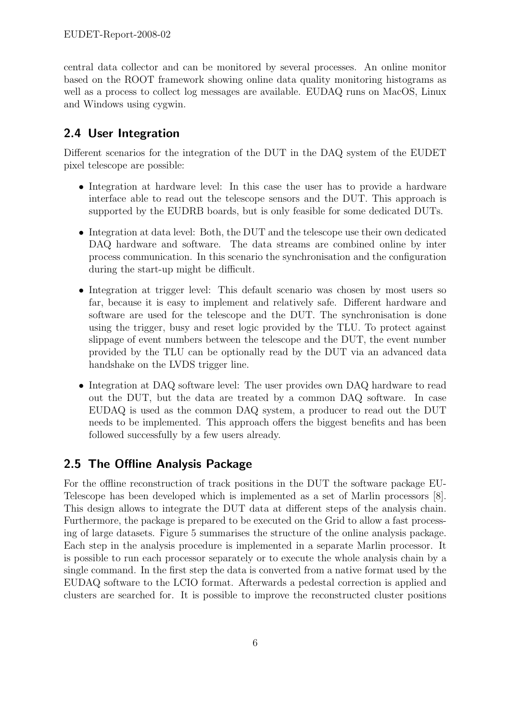central data collector and can be monitored by several processes. An online monitor based on the ROOT framework showing online data quality monitoring histograms as well as a process to collect log messages are available. EUDAQ runs on MacOS, Linux and Windows using cygwin.

### 2.4 User Integration

Different scenarios for the integration of the DUT in the DAQ system of the EUDET pixel telescope are possible:

- Integration at hardware level: In this case the user has to provide a hardware interface able to read out the telescope sensors and the DUT. This approach is supported by the EUDRB boards, but is only feasible for some dedicated DUTs.
- Integration at data level: Both, the DUT and the telescope use their own dedicated DAQ hardware and software. The data streams are combined online by inter process communication. In this scenario the synchronisation and the configuration during the start-up might be difficult.
- Integration at trigger level: This default scenario was chosen by most users so far, because it is easy to implement and relatively safe. Different hardware and software are used for the telescope and the DUT. The synchronisation is done using the trigger, busy and reset logic provided by the TLU. To protect against slippage of event numbers between the telescope and the DUT, the event number provided by the TLU can be optionally read by the DUT via an advanced data handshake on the LVDS trigger line.
- Integration at DAQ software level: The user provides own DAQ hardware to read out the DUT, but the data are treated by a common DAQ software. In case EUDAQ is used as the common DAQ system, a producer to read out the DUT needs to be implemented. This approach offers the biggest benefits and has been followed successfully by a few users already.

### 2.5 The Offline Analysis Package

For the offline reconstruction of track positions in the DUT the software package EU-Telescope has been developed which is implemented as a set of Marlin processors [8]. This design allows to integrate the DUT data at different steps of the analysis chain. Furthermore, the package is prepared to be executed on the Grid to allow a fast processing of large datasets. Figure 5 summarises the structure of the online analysis package. Each step in the analysis procedure is implemented in a separate Marlin processor. It is possible to run each processor separately or to execute the whole analysis chain by a single command. In the first step the data is converted from a native format used by the EUDAQ software to the LCIO format. Afterwards a pedestal correction is applied and clusters are searched for. It is possible to improve the reconstructed cluster positions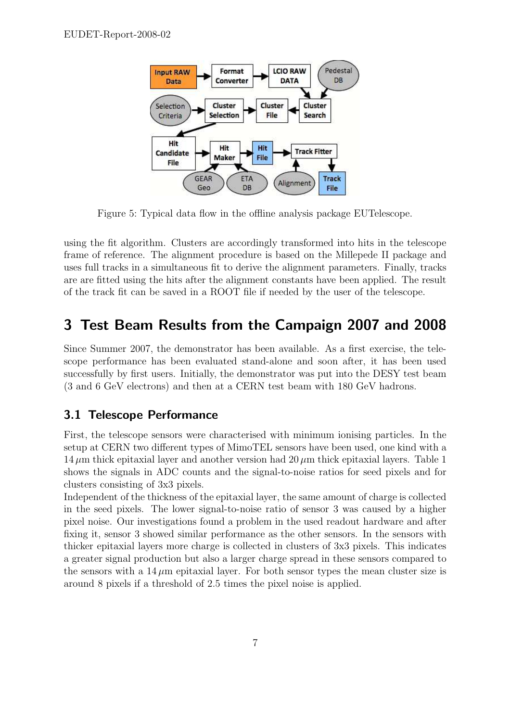

Figure 5: Typical data flow in the offline analysis package EUTelescope.

using the fit algorithm. Clusters are accordingly transformed into hits in the telescope frame of reference. The alignment procedure is based on the Millepede II package and uses full tracks in a simultaneous fit to derive the alignment parameters. Finally, tracks are are fitted using the hits after the alignment constants have been applied. The result of the track fit can be saved in a ROOT file if needed by the user of the telescope.

### 3 Test Beam Results from the Campaign 2007 and 2008

Since Summer 2007, the demonstrator has been available. As a first exercise, the telescope performance has been evaluated stand-alone and soon after, it has been used successfully by first users. Initially, the demonstrator was put into the DESY test beam (3 and 6 GeV electrons) and then at a CERN test beam with 180 GeV hadrons.

#### 3.1 Telescope Performance

First, the telescope sensors were characterised with minimum ionising particles. In the setup at CERN two different types of MimoTEL sensors have been used, one kind with a  $14 \mu m$  thick epitaxial layer and another version had  $20 \mu m$  thick epitaxial layers. Table 1 shows the signals in ADC counts and the signal-to-noise ratios for seed pixels and for clusters consisting of 3x3 pixels.

Independent of the thickness of the epitaxial layer, the same amount of charge is collected in the seed pixels. The lower signal-to-noise ratio of sensor 3 was caused by a higher pixel noise. Our investigations found a problem in the used readout hardware and after fixing it, sensor 3 showed similar performance as the other sensors. In the sensors with thicker epitaxial layers more charge is collected in clusters of 3x3 pixels. This indicates a greater signal production but also a larger charge spread in these sensors compared to the sensors with a  $14 \mu m$  epitaxial layer. For both sensor types the mean cluster size is around 8 pixels if a threshold of 2.5 times the pixel noise is applied.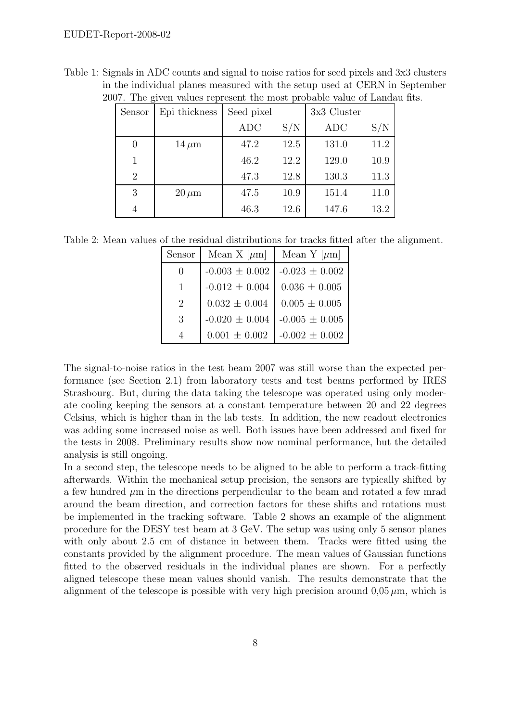| Sensor                      | Epi thickness | Seed pixel |      | 3x3 Cluster |      |
|-----------------------------|---------------|------------|------|-------------|------|
|                             |               | <b>ADC</b> | S/N  | <b>ADC</b>  | S/N  |
| $\Omega$                    | $14 \,\mu m$  | 47.2       | 12.5 | 131.0       | 11.2 |
|                             |               | 46.2       | 12.2 | 129.0       | 10.9 |
| $\mathcal{D}_{\mathcal{L}}$ |               | 47.3       | 12.8 | 130.3       | 11.3 |
| 3                           | $20 \,\mu m$  | 47.5       | 10.9 | 151.4       | 11.0 |
|                             |               | 46.3       | 12.6 | 147.6       | 13.2 |

Table 1: Signals in ADC counts and signal to noise ratios for seed pixels and 3x3 clusters in the individual planes measured with the setup used at CERN in September 2007. The given values represent the most probable value of Landau fits.

Table 2: Mean values of the residual distributions for tracks fitted after the alignment.

| Sensor                      | Mean X $[\mu m]$   | Mean Y $[\mu m]$   |
|-----------------------------|--------------------|--------------------|
| ſ                           | $-0.003 \pm 0.002$ | $-0.023 \pm 0.002$ |
| 1                           | $-0.012 \pm 0.004$ | $0.036 \pm 0.005$  |
| $\mathcal{D}_{\mathcal{L}}$ | $0.032 \pm 0.004$  | $0.005 \pm 0.005$  |
| 3                           | $-0.020 \pm 0.004$ | $-0.005 \pm 0.005$ |
|                             | $0.001 \pm 0.002$  | $-0.002 \pm 0.002$ |

The signal-to-noise ratios in the test beam 2007 was still worse than the expected performance (see Section 2.1) from laboratory tests and test beams performed by IRES Strasbourg. But, during the data taking the telescope was operated using only moderate cooling keeping the sensors at a constant temperature between 20 and 22 degrees Celsius, which is higher than in the lab tests. In addition, the new readout electronics was adding some increased noise as well. Both issues have been addressed and fixed for the tests in 2008. Preliminary results show now nominal performance, but the detailed analysis is still ongoing.

In a second step, the telescope needs to be aligned to be able to perform a track-fitting afterwards. Within the mechanical setup precision, the sensors are typically shifted by a few hundred  $\mu$ m in the directions perpendicular to the beam and rotated a few mrad around the beam direction, and correction factors for these shifts and rotations must be implemented in the tracking software. Table 2 shows an example of the alignment procedure for the DESY test beam at 3 GeV. The setup was using only 5 sensor planes with only about 2.5 cm of distance in between them. Tracks were fitted using the constants provided by the alignment procedure. The mean values of Gaussian functions fitted to the observed residuals in the individual planes are shown. For a perfectly aligned telescope these mean values should vanish. The results demonstrate that the alignment of the telescope is possible with very high precision around  $0.05 \mu m$ , which is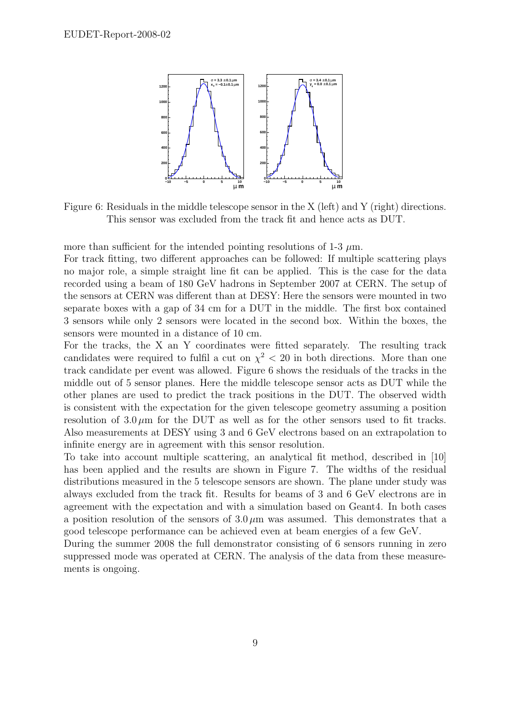

Figure 6: Residuals in the middle telescope sensor in the X (left) and Y (right) directions. This sensor was excluded from the track fit and hence acts as DUT.

more than sufficient for the intended pointing resolutions of 1-3  $\mu$ m.

For track fitting, two different approaches can be followed: If multiple scattering plays no major role, a simple straight line fit can be applied. This is the case for the data recorded using a beam of 180 GeV hadrons in September 2007 at CERN. The setup of the sensors at CERN was different than at DESY: Here the sensors were mounted in two separate boxes with a gap of 34 cm for a DUT in the middle. The first box contained 3 sensors while only 2 sensors were located in the second box. Within the boxes, the sensors were mounted in a distance of 10 cm.

For the tracks, the X an Y coordinates were fitted separately. The resulting track candidates were required to fulfil a cut on  $\chi^2$  < 20 in both directions. More than one track candidate per event was allowed. Figure 6 shows the residuals of the tracks in the middle out of 5 sensor planes. Here the middle telescope sensor acts as DUT while the other planes are used to predict the track positions in the DUT. The observed width is consistent with the expectation for the given telescope geometry assuming a position resolution of  $3.0 \mu m$  for the DUT as well as for the other sensors used to fit tracks. Also measurements at DESY using 3 and 6 GeV electrons based on an extrapolation to infinite energy are in agreement with this sensor resolution.

To take into account multiple scattering, an analytical fit method, described in [10] has been applied and the results are shown in Figure 7. The widths of the residual distributions measured in the 5 telescope sensors are shown. The plane under study was always excluded from the track fit. Results for beams of 3 and 6 GeV electrons are in agreement with the expectation and with a simulation based on Geant4. In both cases a position resolution of the sensors of  $3.0 \mu m$  was assumed. This demonstrates that a good telescope performance can be achieved even at beam energies of a few GeV.

During the summer 2008 the full demonstrator consisting of 6 sensors running in zero suppressed mode was operated at CERN. The analysis of the data from these measurements is ongoing.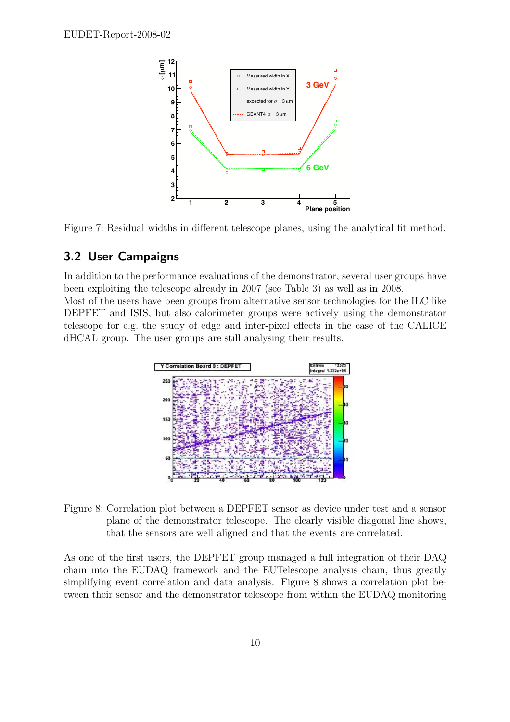

Figure 7: Residual widths in different telescope planes, using the analytical fit method.

#### 3.2 User Campaigns

In addition to the performance evaluations of the demonstrator, several user groups have been exploiting the telescope already in 2007 (see Table 3) as well as in 2008. Most of the users have been groups from alternative sensor technologies for the ILC like DEPFET and ISIS, but also calorimeter groups were actively using the demonstrator telescope for e.g. the study of edge and inter-pixel effects in the case of the CALICE dHCAL group. The user groups are still analysing their results.



Figure 8: Correlation plot between a DEPFET sensor as device under test and a sensor plane of the demonstrator telescope. The clearly visible diagonal line shows, that the sensors are well aligned and that the events are correlated.

As one of the first users, the DEPFET group managed a full integration of their DAQ chain into the EUDAQ framework and the EUTelescope analysis chain, thus greatly simplifying event correlation and data analysis. Figure 8 shows a correlation plot between their sensor and the demonstrator telescope from within the EUDAQ monitoring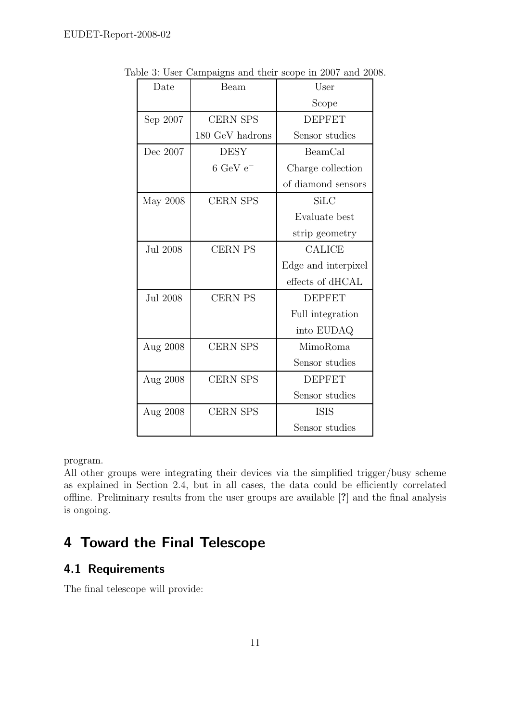| Beam<br>Date |                               | User                |  |
|--------------|-------------------------------|---------------------|--|
|              |                               | Scope               |  |
| Sep 2007     | <b>CERN SPS</b>               | <b>DEPFET</b>       |  |
|              | 180 GeV hadrons               | Sensor studies      |  |
| Dec 2007     | <b>DESY</b>                   | BeamCal             |  |
|              | $6 \text{ GeV} \text{ e}^{-}$ | Charge collection   |  |
|              |                               | of diamond sensors  |  |
| May 2008     | <b>CERN SPS</b>               | SiLC                |  |
|              |                               | Evaluate best       |  |
|              |                               | strip geometry      |  |
| Jul 2008     | <b>CERN PS</b>                | <b>CALICE</b>       |  |
|              |                               | Edge and interpixel |  |
|              |                               | effects of dHCAL    |  |
| Jul 2008     | <b>CERN PS</b>                | <b>DEPFET</b>       |  |
|              |                               | Full integration    |  |
|              |                               | into EUDAQ          |  |
| Aug 2008     | <b>CERN SPS</b>               | MimoRoma            |  |
|              |                               | Sensor studies      |  |
| Aug 2008     | <b>CERN SPS</b>               | <b>DEPFET</b>       |  |
|              |                               | Sensor studies      |  |
| Aug 2008     | <b>CERN SPS</b>               | <b>ISIS</b>         |  |
|              |                               | Sensor studies      |  |

Table 3: User Campaigns and their scope in 2007 and 2008.

program.

All other groups were integrating their devices via the simplified trigger/busy scheme as explained in Section 2.4, but in all cases, the data could be efficiently correlated offline. Preliminary results from the user groups are available [?] and the final analysis is ongoing.

# 4 Toward the Final Telescope

### 4.1 Requirements

The final telescope will provide: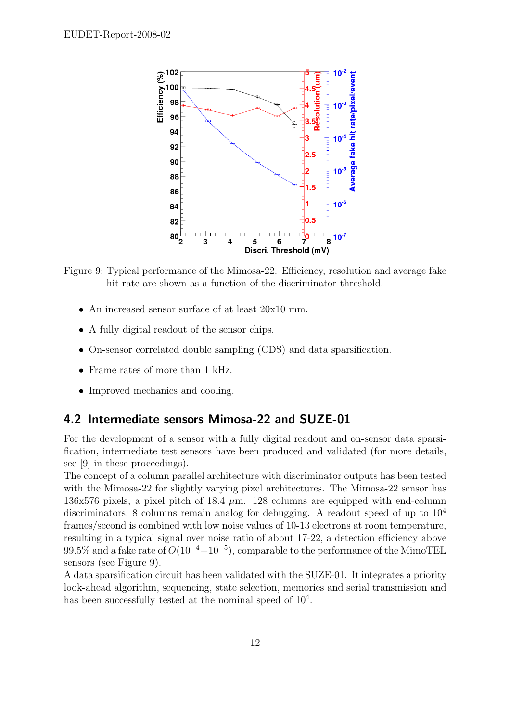

Figure 9: Typical performance of the Mimosa-22. Efficiency, resolution and average fake hit rate are shown as a function of the discriminator threshold.

- An increased sensor surface of at least  $20x10$  mm.
- A fully digital readout of the sensor chips.
- On-sensor correlated double sampling (CDS) and data sparsification.
- Frame rates of more than 1 kHz.
- Improved mechanics and cooling.

#### 4.2 Intermediate sensors Mimosa-22 and SUZE-01

For the development of a sensor with a fully digital readout and on-sensor data sparsification, intermediate test sensors have been produced and validated (for more details, see [9] in these proceedings).

The concept of a column parallel architecture with discriminator outputs has been tested with the Mimosa-22 for slightly varying pixel architectures. The Mimosa-22 sensor has 136x576 pixels, a pixel pitch of 18.4  $\mu$ m. 128 columns are equipped with end-column discriminators, 8 columns remain analog for debugging. A readout speed of up to  $10^4$ frames/second is combined with low noise values of 10-13 electrons at room temperature, resulting in a typical signal over noise ratio of about 17-22, a detection efficiency above 99.5% and a fake rate of  $O(10^{-4}-10^{-5})$ , comparable to the performance of the MimoTEL sensors (see Figure 9).

A data sparsification circuit has been validated with the SUZE-01. It integrates a priority look-ahead algorithm, sequencing, state selection, memories and serial transmission and has been successfully tested at the nominal speed of  $10^4$ .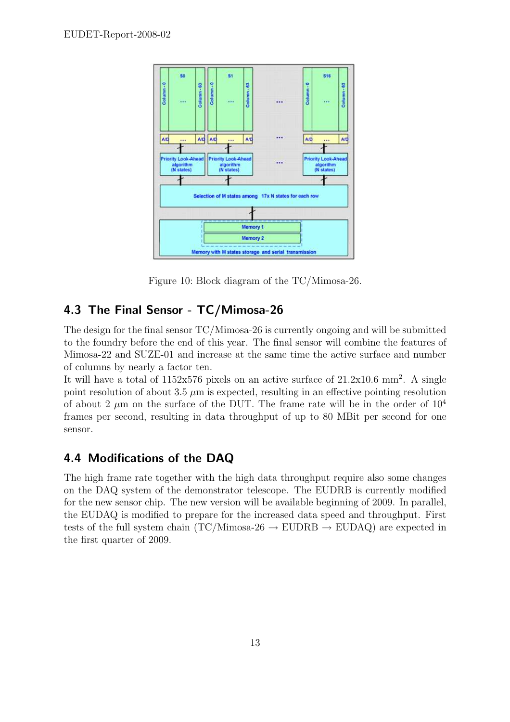

Figure 10: Block diagram of the TC/Mimosa-26.

### 4.3 The Final Sensor - TC/Mimosa-26

The design for the final sensor TC/Mimosa-26 is currently ongoing and will be submitted to the foundry before the end of this year. The final sensor will combine the features of Mimosa-22 and SUZE-01 and increase at the same time the active surface and number of columns by nearly a factor ten.

It will have a total of  $1152x576$  pixels on an active surface of  $21.2x10.6$  mm<sup>2</sup>. A single point resolution of about 3.5  $\mu$ m is expected, resulting in an effective pointing resolution of about 2  $\mu$ m on the surface of the DUT. The frame rate will be in the order of  $10^4$ frames per second, resulting in data throughput of up to 80 MBit per second for one sensor.

### 4.4 Modifications of the DAQ

The high frame rate together with the high data throughput require also some changes on the DAQ system of the demonstrator telescope. The EUDRB is currently modified for the new sensor chip. The new version will be available beginning of 2009. In parallel, the EUDAQ is modified to prepare for the increased data speed and throughput. First tests of the full system chain (TC/Mimosa-26  $\rightarrow$  EUDRB  $\rightarrow$  EUDAQ) are expected in the first quarter of 2009.